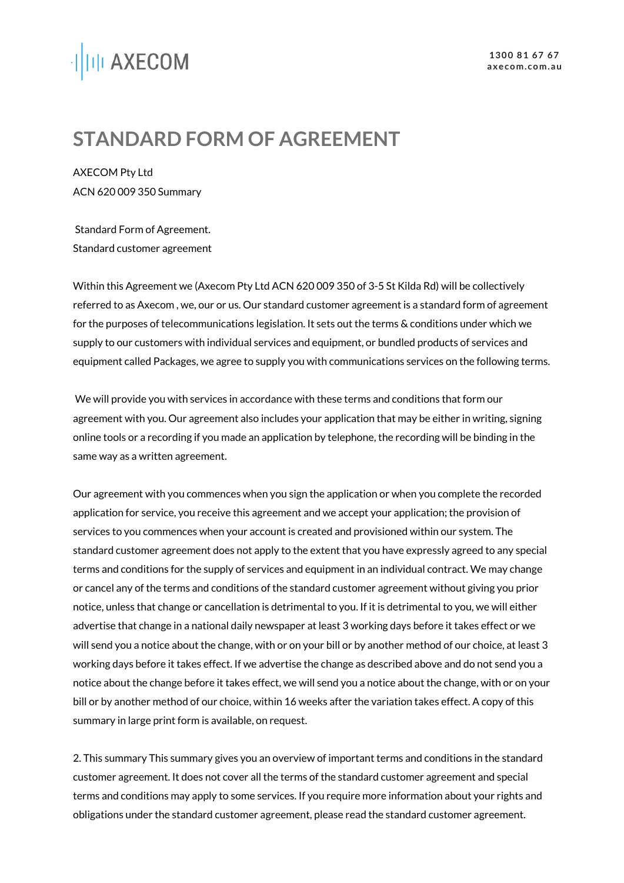# ·||III AXECOM

# **STANDARD FORM OF AGREEMENT**

AXECOM Pty Ltd ACN 620 009 350 Summary

Standard Form of Agreement. Standard customer agreement

Within this Agreement we (Axecom Pty Ltd ACN 620 009 350 of 3-5 St Kilda Rd) will be collectively referred to as Axecom , we, our or us. Our standard customer agreement is a standard form of agreement for the purposes of telecommunications legislation. It sets out the terms & conditions under which we supply to our customers with individual services and equipment, or bundled products of services and equipment called Packages, we agree to supply you with communications services on the following terms.

We will provide you with services in accordance with these terms and conditions that form our agreement with you. Our agreement also includes your application that may be either in writing, signing online tools or a recording if you made an application by telephone, the recording will be binding in the same way as a written agreement.

Our agreement with you commences when you sign the application or when you complete the recorded application for service, you receive this agreement and we accept your application; the provision of services to you commences when your account is created and provisioned within our system. The standard customer agreement does not apply to the extent that you have expressly agreed to any special terms and conditions for the supply of services and equipment in an individual contract. We may change or cancel any of the terms and conditions of the standard customer agreement without giving you prior notice, unless that change or cancellation is detrimental to you. If it is detrimental to you, we will either advertise that change in a national daily newspaper at least 3 working days before it takes effect or we will send you a notice about the change, with or on your bill or by another method of our choice, at least 3 working days before it takes effect. If we advertise the change as described above and do not send you a notice about the change before it takes effect, we will send you a notice about the change, with or on your bill or by another method of our choice, within 16 weeks after the variation takes effect. A copy of this summary in large print form is available, on request.

2. This summary This summary gives you an overview of important terms and conditions in the standard customer agreement. It does not cover all the terms of the standard customer agreement and special terms and conditions may apply to some services. If you require more information about your rights and obligations under the standard customer agreement, please read the standard customer agreement.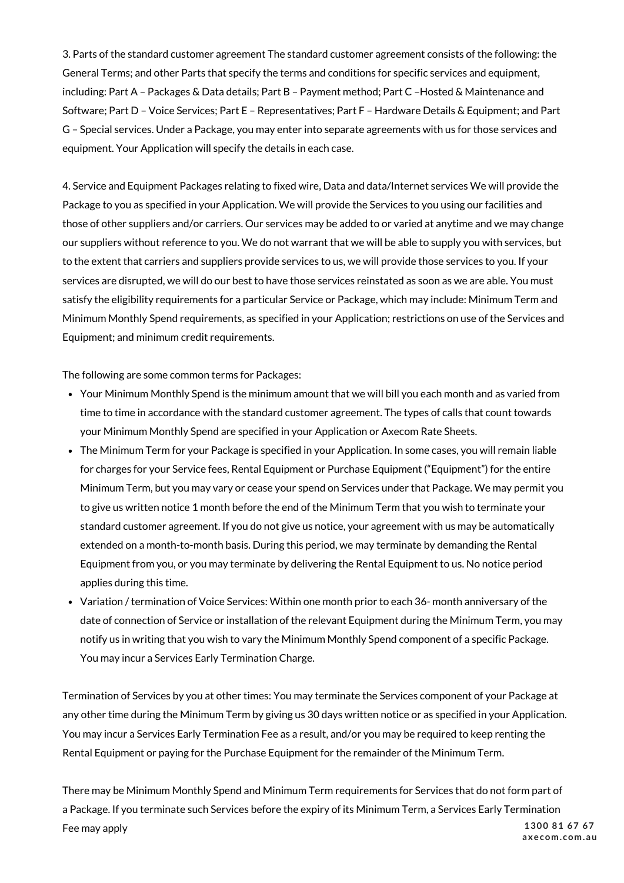3. Parts of the standard customer agreement The standard customer agreement consists of the following: the General Terms; and other Parts that specify the terms and conditions for specific services and equipment, including: Part A – Packages & Data details; Part B – Payment method; Part C –Hosted & Maintenance and Software; Part D – Voice Services; Part E – Representatives; Part F – Hardware Details & Equipment; and Part G – Special services. Under a Package, you may enter into separate agreements with us for those services and equipment. Your Application will specify the details in each case.

4. Service and Equipment Packages relating to fixed wire, Data and data/Internet services We will provide the Package to you as specified in your Application. We will provide the Services to you using our facilities and those of other suppliers and/or carriers. Our services may be added to or varied at anytime and we may change our suppliers without reference to you. We do not warrant that we will be able to supply you with services, but to the extent that carriers and suppliers provide services to us, we will provide those services to you. If your services are disrupted, we will do our best to have those services reinstated as soon as we are able. You must satisfy the eligibility requirements for a particular Service or Package, which may include: Minimum Term and Minimum Monthly Spend requirements, as specified in your Application; restrictions on use of the Services and Equipment; and minimum credit requirements.

The following are some common terms for Packages:

- Your Minimum Monthly Spend is the minimum amount that we will bill you each month and as varied from time to time in accordance with the standard customer agreement. The types of calls that count towards your Minimum Monthly Spend are specified in your Application or Axecom Rate Sheets.
- The Minimum Term for your Package is specified in your Application. In some cases, you will remain liable for charges for your Service fees, Rental Equipment or Purchase Equipment ("Equipment") for the entire Minimum Term, but you may vary or cease your spend on Services under that Package. We may permit you to give us written notice 1 month before the end of the Minimum Term that you wish to terminate your standard customer agreement. If you do not give us notice, your agreement with us may be automatically extended on a month-to-month basis. During this period, we may terminate by demanding the Rental Equipment from you, or you may terminate by delivering the Rental Equipment to us. No notice period applies during this time.
- Variation / termination of Voice Services: Within one month prior to each 36- month anniversary of the date of connection of Service or installation of the relevant Equipment during the Minimum Term, you may notify us in writing that you wish to vary the Minimum Monthly Spend component of a specific Package. You may incur a Services Early Termination Charge.

Termination of Services by you at other times: You may terminate the Services component of your Package at any other time during the Minimum Term by giving us 30 days written notice or as specified in your Application. You may incur a Services Early Termination Fee as a result, and/or you may be required to keep renting the Rental Equipment or paying for the Purchase Equipment for the remainder of the Minimum Term.

There may be Minimum Monthly Spend and Minimum Term requirements for Services that do not form part of a Package. If you terminate such Services before the expiry of its Minimum Term, a Services Early Termination Fee may apply **1300 81 67 67 axecom. com.au**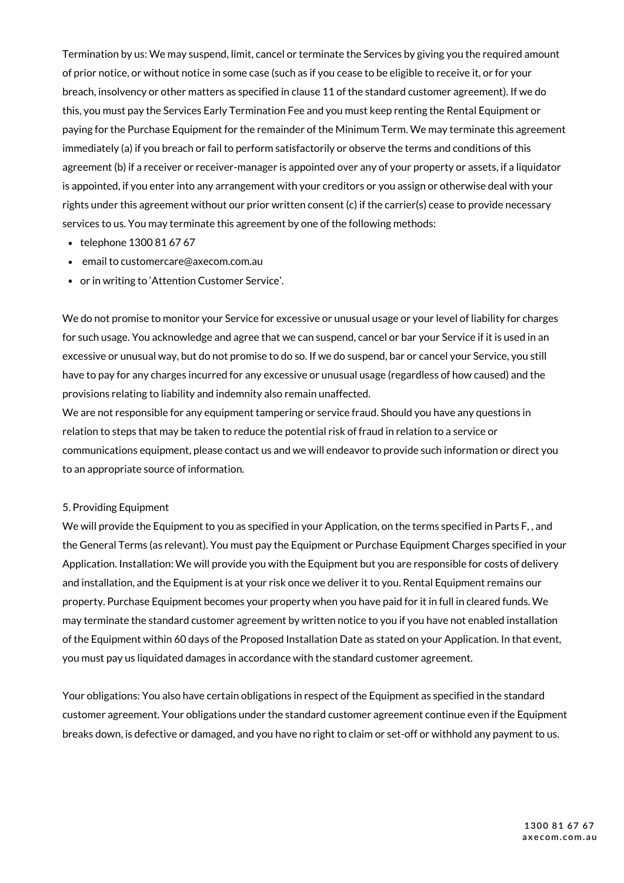Termination by us: We may suspend, limit, cancel or terminate the Services by giving you the required amount of prior notice, or without notice in some case (such as if you cease to be eligible to receive it, or for your breach, insolvency or other matters as specified in clause 11 of the standard customer agreement). If we do this, you must pay the Services Early Termination Fee and you must keep renting the Rental Equipment or paying for the Purchase Equipment for the remainder of the Minimum Term. We may terminate this agreement immediately (a) if you breach or fail to perform satisfactorily or observe the terms and conditions of this agreement (b) if a receiver or receiver-manager is appointed over any of your property or assets, if a liquidator is appointed, if you enter into any arrangement with your creditors or you assign or otherwise deal with your rights under this agreement without our prior written consent (c) if the carrier(s) cease to provide necessary services to us. You may terminate this agreement by one of the following methods:

- telephone 1300 81 67 67
- email to customercare@axecom.com.au
- or in writing to 'Attention Customer Service'.

We do not promise to monitor your Service for excessive or unusual usage or your level of liability for charges for such usage. You acknowledge and agree that we can suspend, cancel or bar your Service if it is used in an excessive or unusual way, but do not promise to do so. If we do suspend, bar or cancel your Service, you still have to pay for any charges incurred for any excessive or unusual usage (regardless of how caused) and the provisions relating to liability and indemnity also remain unaffected.

We are not responsible for any equipment tampering or service fraud. Should you have any questions in relation to steps that may be taken to reduce the potential risk of fraud in relation to a service or communications equipment, please contact us and we will endeavor to provide such information or direct you to an appropriate source of information.

# 5. Providing Equipment

We will provide the Equipment to you as specified in your Application, on the terms specified in Parts F, , and the General Terms (as relevant). You must pay the Equipment or Purchase Equipment Charges specified in your Application. Installation: We will provide you with the Equipment but you are responsible for costs of delivery and installation, and the Equipment is at your risk once we deliver it to you. Rental Equipment remains our property. Purchase Equipment becomes your property when you have paid for it in full in cleared funds. We may terminate the standard customer agreement by written notice to you if you have not enabled installation of the Equipment within 60 days of the Proposed Installation Date as stated on your Application. In that event, you must pay us liquidated damages in accordance with the standard customer agreement.

Your obligations: You also have certain obligations in respect of the Equipment as specified in the standard customer agreement. Your obligations under the standard customer agreement continue even if the Equipment breaks down, is defective or damaged, and you have no right to claim or set-off or withhold any payment to us.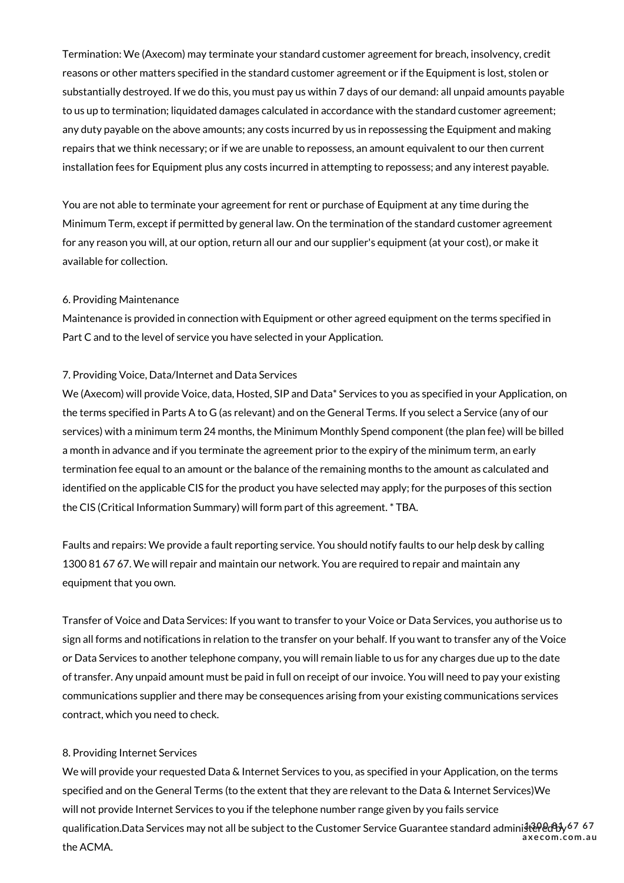Termination: We (Axecom) may terminate your standard customer agreement for breach, insolvency, credit reasons or other matters specified in the standard customer agreement or if the Equipment is lost, stolen or substantially destroyed. If we do this, you must pay us within 7 days of our demand: all unpaid amounts payable to us up to termination; liquidated damages calculated in accordance with the standard customer agreement; any duty payable on the above amounts; any costs incurred by us in repossessing the Equipment and making repairs that we think necessary; or if we are unable to repossess, an amount equivalent to our then current installation fees for Equipment plus any costs incurred in attempting to repossess; and any interest payable.

You are not able to terminate your agreement for rent or purchase of Equipment at any time during the Minimum Term, except if permitted by general law. On the termination of the standard customer agreement for any reason you will, at our option, return all our and our supplier's equipment (at your cost), or make it available for collection.

# 6. Providing Maintenance

Maintenance is provided in connection with Equipment or other agreed equipment on the terms specified in Part C and to the level of service you have selected in your Application.

## 7. Providing Voice, Data/Internet and Data Services

We (Axecom) will provide Voice, data, Hosted, SIP and Data\* Services to you as specified in your Application, on the terms specified in Parts A to G (as relevant) and on the General Terms. If you select a Service (any of our services) with a minimum term 24 months, the Minimum Monthly Spend component (the plan fee) will be billed a month in advance and if you terminate the agreement prior to the expiry of the minimum term, an early termination fee equal to an amount or the balance of the remaining months to the amount as calculated and identified on the applicable CIS for the product you have selected may apply; for the purposes of this section the CIS (Critical Information Summary) will form part of this agreement. \* TBA.

Faults and repairs: We provide a fault reporting service. You should notify faults to our help desk by calling 1300 81 67 67. We will repair and maintain our network. You are required to repair and maintain any equipment that you own.

Transfer of Voice and Data Services: If you want to transfer to your Voice or Data Services, you authorise us to sign all forms and notifications in relation to the transfer on your behalf. If you want to transfer any of the Voice or Data Services to another telephone company, you will remain liable to us for any charges due up to the date of transfer. Any unpaid amount must be paid in full on receipt of our invoice. You will need to pay your existing communications supplier and there may be consequences arising from your existing communications services contract, which you need to check.

#### 8. Providing Internet Services

We will provide your requested Data & Internet Services to you, as specified in your Application, on the terms specified and on the General Terms (to the extent that they are relevant to the Data & Internet Services)We will not provide Internet Services to you if the telephone number range given by you fails service qualification.Data Services may not all be subject to the Customer Service Guarantee standard administered by **1300 81 67 67** the ACMA. **axecom. com.au**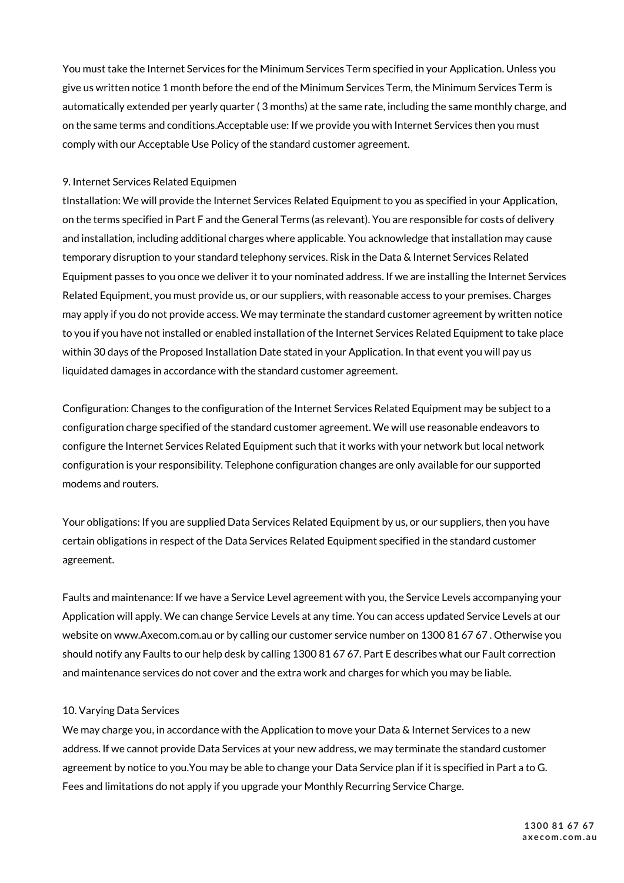You must take the Internet Services for the Minimum Services Term specified in your Application. Unless you give us written notice 1 month before the end of the Minimum Services Term, the Minimum Services Term is automatically extended per yearly quarter ( 3 months) at the same rate, including the same monthly charge, and on the same terms and conditions.Acceptable use: If we provide you with Internet Services then you must comply with our Acceptable Use Policy of the standard customer agreement.

# 9. Internet Services Related Equipmen

tInstallation: We will provide the Internet Services Related Equipment to you as specified in your Application, on the terms specified in Part F and the General Terms (as relevant). You are responsible for costs of delivery and installation, including additional charges where applicable. You acknowledge that installation may cause temporary disruption to your standard telephony services. Risk in the Data & Internet Services Related Equipment passes to you once we deliver it to your nominated address. If we are installing the Internet Services Related Equipment, you must provide us, or our suppliers, with reasonable access to your premises. Charges may apply if you do not provide access. We may terminate the standard customer agreement by written notice to you if you have not installed or enabled installation of the Internet Services Related Equipment to take place within 30 days of the Proposed Installation Date stated in your Application. In that event you will pay us liquidated damages in accordance with the standard customer agreement.

Configuration: Changes to the configuration of the Internet Services Related Equipment may be subject to a configuration charge specified of the standard customer agreement. We will use reasonable endeavors to configure the Internet Services Related Equipment such that it works with your network but local network configuration is your responsibility. Telephone configuration changes are only available for our supported modems and routers.

Your obligations: If you are supplied Data Services Related Equipment by us, or our suppliers, then you have certain obligations in respect of the Data Services Related Equipment specified in the standard customer agreement.

Faults and maintenance: If we have a Service Level agreement with you, the Service Levels accompanying your Application will apply. We can change Service Levels at any time. You can access updated Service Levels at our website on www.Axecom.com.au or by calling our customer service number on 1300 81 67 67 . Otherwise you should notify any Faults to our help desk by calling 1300 81 67 67. Part E describes what our Fault correction and maintenance services do not cover and the extra work and charges for which you may be liable.

# 10. Varying Data Services

We may charge you, in accordance with the Application to move your Data & Internet Services to a new address. If we cannot provide Data Services at your new address, we may terminate the standard customer agreement by notice to you.You may be able to change your Data Service plan if it is specified in Part a to G. Fees and limitations do not apply if you upgrade your Monthly Recurring Service Charge.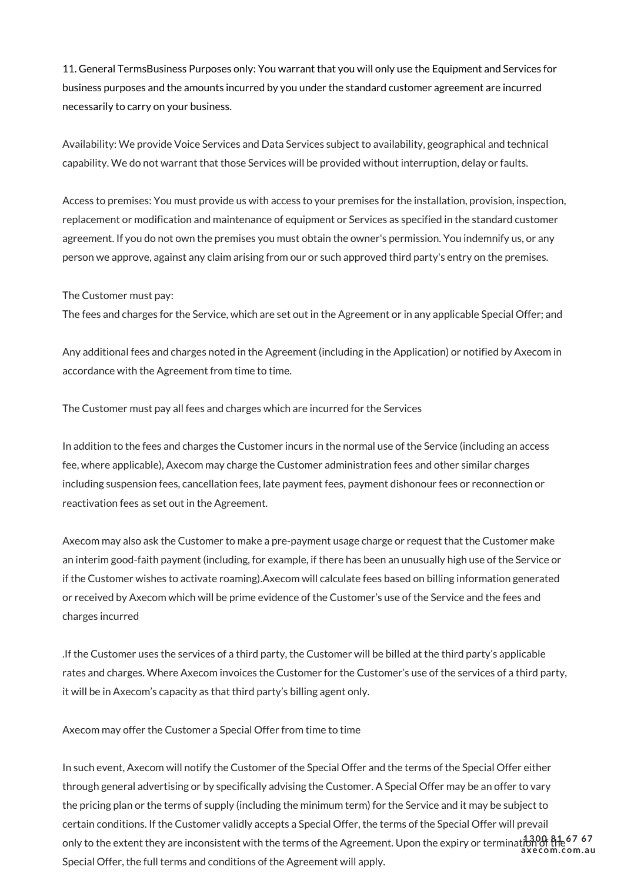11. General TermsBusiness Purposes only: You warrant that you will only use the Equipment and Services for business purposes and the amounts incurred by you under the standard customer agreement are incurred necessarily to carry on your business.

Availability: We provide Voice Services and Data Services subject to availability, geographical and technical capability. We do not warrant that those Services will be provided without interruption, delay or faults.

Access to premises: You must provide us with access to your premises for the installation, provision, inspection, replacement or modification and maintenance of equipment or Services as specified in the standard customer agreement. If you do not own the premises you must obtain the owner's permission. You indemnify us, or any person we approve, against any claim arising from our or such approved third party's entry on the premises.

The Customer must pay:

The fees and charges for the Service, which are set out in the Agreement or in any applicable Special Offer; and

Any additional fees and charges noted in the Agreement (including in the Application) or notified by Axecom in accordance with the Agreement from time to time.

The Customer must pay all fees and charges which are incurred for the Services

In addition to the fees and charges the Customer incurs in the normal use of the Service (including an access fee, where applicable), Axecom may charge the Customer administration fees and other similar charges including suspension fees, cancellation fees, late payment fees, payment dishonour fees or reconnection or reactivation fees as set out in the Agreement.

Axecom may also ask the Customer to make a pre-payment usage charge or request that the Customer make an interim good-faith payment (including, for example, if there has been an unusually high use of the Service or if the Customer wishes to activate roaming).Axecom will calculate fees based on billing information generated or received by Axecom which will be prime evidence of the Customer's use of the Service and the fees and charges incurred

.If the Customer uses the services of a third party, the Customer will be billed at the third party's applicable rates and charges. Where Axecom invoices the Customer for the Customer's use of the services of a third party, it will be in Axecom's capacity as that third party's billing agent only.

Axecom may offer the Customer a Special Offer from time to time

In such event, Axecom will notify the Customer of the Special Offer and the terms of the Special Offer either through general advertising or by specifically advising the Customer. A Special Offer may be an offer to vary the pricing plan or the terms of supply (including the minimum term) for the Service and it may be subject to certain conditions. If the Customer validly accepts a Special Offer, the terms of the Special Offer will prevail only to the extent they are inconsistent with the terms of the Agreement. Upon the expiry or termination of the **1300 81 67 67** Special Offer, the full terms and conditions of the Agreement will apply. **axecom. com.au**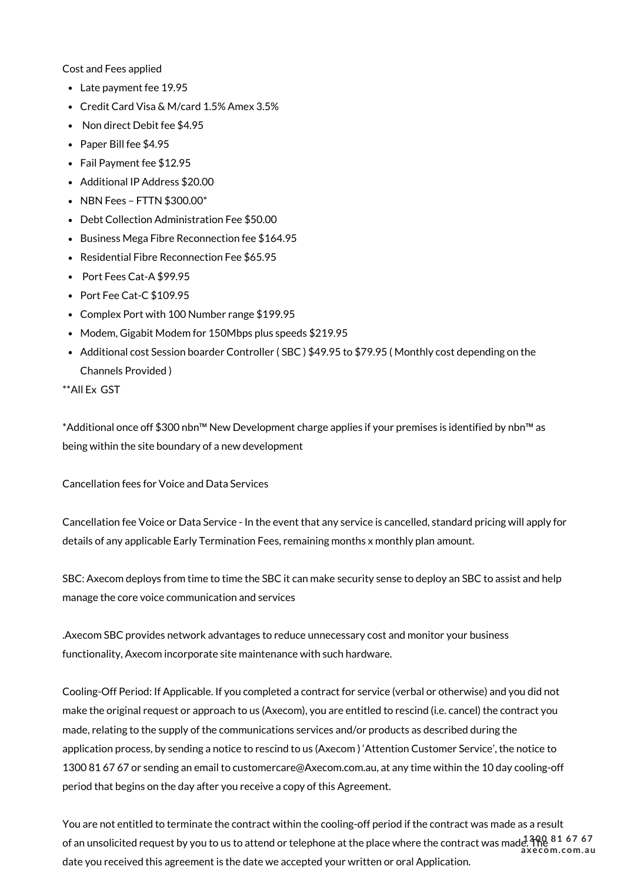Cost and Fees applied

- Late payment fee 19.95
- Credit Card Visa & M/card 1.5% Amex 3.5%
- Non direct Debit fee \$4.95
- Paper Bill fee \$4.95
- Fail Payment fee \$12.95
- Additional IP Address \$20.00
- NBN Fees FTTN \$300.00\*
- Debt Collection Administration Fee \$50.00
- Business Mega Fibre Reconnection fee \$164.95
- Residential Fibre Reconnection Fee \$65.95
- Port Fees Cat-A \$99.95
- Port Fee Cat-C \$109.95
- Complex Port with 100 Number range \$199.95
- Modem, Gigabit Modem for 150Mbps plus speeds \$219.95
- Additional cost Session boarder Controller (SBC) \$49.95 to \$79.95 (Monthly cost depending on the Channels Provided )
- \*\*All Ex GST

\*Additional once off \$300 nbn™ New Development charge applies if your premises is identified by nbn™ as being within the site boundary of a new development

Cancellation fees for Voice and Data Services

Cancellation fee Voice or Data Service - In the event that any service is cancelled, standard pricing will apply for details of any applicable Early Termination Fees, remaining months x monthly plan amount.

SBC: Axecom deploys from time to time the SBC it can make security sense to deploy an SBC to assist and help manage the core voice communication and services

.Axecom SBC provides network advantages to reduce unnecessary cost and monitor your business functionality, Axecom incorporate site maintenance with such hardware.

Cooling-Off Period: If Applicable. If you completed a contract for service (verbal or otherwise) and you did not make the original request or approach to us (Axecom), you are entitled to rescind (i.e. cancel) the contract you made, relating to the supply of the communications services and/or products as described during the application process, by sending a notice to rescind to us (Axecom ) 'Attention Customer Service', the notice to 1300 81 67 67 or sending an email to customercare@Axecom.com.au, at any time within the 10 day cooling-off period that begins on the day after you receive a copy of this Agreement.

You are not entitled to terminate the contract within the cooling-off period if the contract was made as a result of an unsolicited request by you to us to attend or telephone at the place where the contract was made. The **1300 81 67 67** date you received this agreement is the date we accepted your written or oral Application. **axecom. com.au**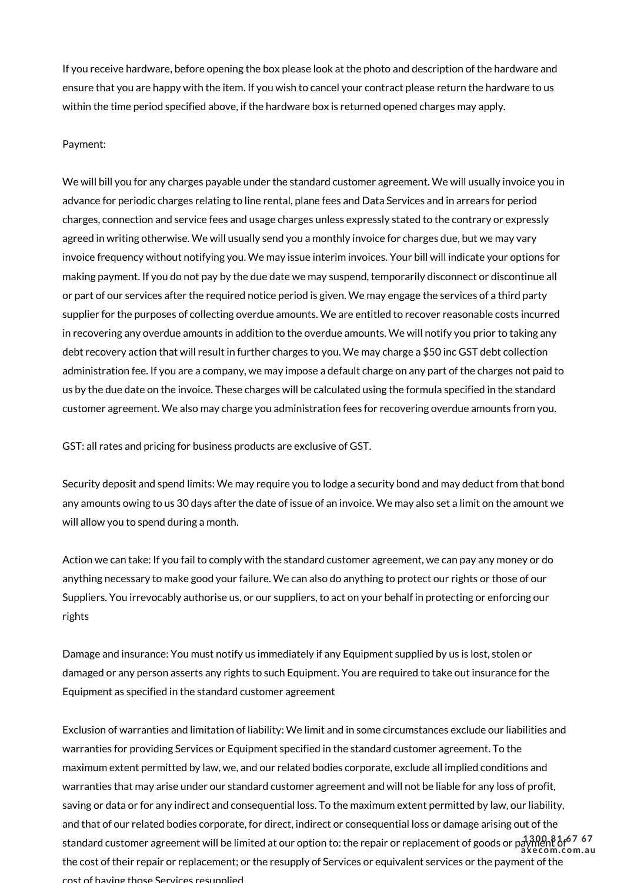If you receive hardware, before opening the box please look at the photo and description of the hardware and ensure that you are happy with the item. If you wish to cancel your contract please return the hardware to us within the time period specified above, if the hardware box is returned opened charges may apply.

#### Payment:

We will bill you for any charges payable under the standard customer agreement. We will usually invoice you in advance for periodic charges relating to line rental, plane fees and Data Services and in arrears for period charges, connection and service fees and usage charges unless expressly stated to the contrary or expressly agreed in writing otherwise. We will usually send you a monthly invoice for charges due, but we may vary invoice frequency without notifying you. We may issue interim invoices. Your bill will indicate your options for making payment. If you do not pay by the due date we may suspend, temporarily disconnect or discontinue all or part of our services after the required notice period is given. We may engage the services of a third party supplier for the purposes of collecting overdue amounts. We are entitled to recover reasonable costs incurred in recovering any overdue amounts in addition to the overdue amounts. We will notify you prior to taking any debt recovery action that will result in further charges to you. We may charge a \$50 inc GST debt collection administration fee. If you are a company, we may impose a default charge on any part of the charges not paid to us by the due date on the invoice. These charges will be calculated using the formula specified in the standard customer agreement. We also may charge you administration fees for recovering overdue amounts from you.

GST: all rates and pricing for business products are exclusive of GST.

Security deposit and spend limits: We may require you to lodge a security bond and may deduct from that bond any amounts owing to us 30 days after the date of issue of an invoice. We may also set a limit on the amount we will allow you to spend during a month.

Action we can take: If you fail to comply with the standard customer agreement, we can pay any money or do anything necessary to make good your failure. We can also do anything to protect our rights or those of our Suppliers. You irrevocably authorise us, or our suppliers, to act on your behalf in protecting or enforcing our rights

Damage and insurance: You must notify us immediately if any Equipment supplied by us is lost, stolen or damaged or any person asserts any rights to such Equipment. You are required to take out insurance for the Equipment as specified in the standard customer agreement

Exclusion of warranties and limitation of liability: We limit and in some circumstances exclude our liabilities and warranties for providing Services or Equipment specified in the standard customer agreement. To the maximum extent permitted by law, we, and our related bodies corporate, exclude all implied conditions and warranties that may arise under our standard customer agreement and will not be liable for any loss of profit, saving or data or for any indirect and consequential loss. To the maximum extent permitted by law, our liability, and that of our related bodies corporate, for direct, indirect or consequential loss or damage arising out of the standard customer agreement will be limited at our option to: the repair or replacement of goods or payment of **1300 81 67 67** the cost of their repair or replacement; or the resupply of Services or equivalent services or the payment of the cost of having those Services resupplied. **axecom. com.au**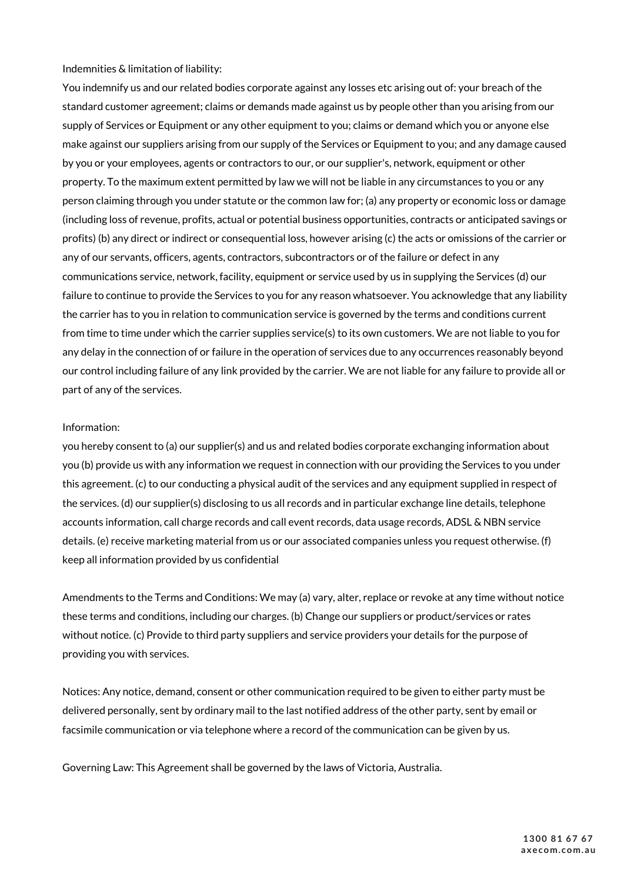Indemnities & limitation of liability:

You indemnify us and our related bodies corporate against any losses etc arising out of: your breach of the standard customer agreement; claims or demands made against us by people other than you arising from our supply of Services or Equipment or any other equipment to you; claims or demand which you or anyone else make against our suppliers arising from our supply of the Services or Equipment to you; and any damage caused by you or your employees, agents or contractors to our, or our supplier's, network, equipment or other property. To the maximum extent permitted by law we will not be liable in any circumstances to you or any person claiming through you under statute or the common law for; (a) any property or economic loss or damage (including loss of revenue, profits, actual or potential business opportunities, contracts or anticipated savings or profits) (b) any direct or indirect or consequential loss, however arising (c) the acts or omissions of the carrier or any of our servants, officers, agents, contractors, subcontractors or of the failure or defect in any communications service, network, facility, equipment or service used by us in supplying the Services (d) our failure to continue to provide the Services to you for any reason whatsoever. You acknowledge that any liability the carrier has to you in relation to communication service is governed by the terms and conditions current from time to time under which the carrier supplies service(s) to its own customers. We are not liable to you for any delay in the connection of or failure in the operation of services due to any occurrences reasonably beyond our control including failure of any link provided by the carrier. We are not liable for any failure to provide all or part of any of the services.

#### Information:

you hereby consent to (a) our supplier(s) and us and related bodies corporate exchanging information about you (b) provide us with any information we request in connection with our providing the Services to you under this agreement. (c) to our conducting a physical audit of the services and any equipment supplied in respect of the services. (d) our supplier(s) disclosing to us all records and in particular exchange line details, telephone accounts information, call charge records and call event records, data usage records, ADSL & NBN service details. (e) receive marketing material from us or our associated companies unless you request otherwise. (f) keep all information provided by us confidential

Amendments to the Terms and Conditions: We may (a) vary, alter, replace or revoke at any time without notice these terms and conditions, including our charges. (b) Change our suppliers or product/services or rates without notice. (c) Provide to third party suppliers and service providers your details for the purpose of providing you with services.

Notices: Any notice, demand, consent or other communication required to be given to either party must be delivered personally, sent by ordinary mail to the last notified address of the other party, sent by email or facsimile communication or via telephone where a record of the communication can be given by us.

Governing Law: This Agreement shall be governed by the laws of Victoria, Australia.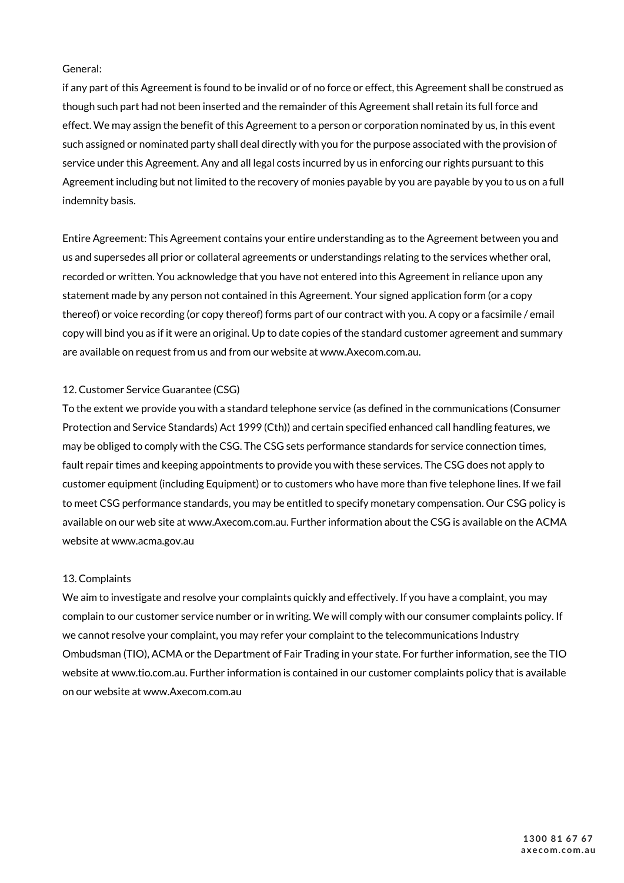# General:

if any part of this Agreement is found to be invalid or of no force or effect, this Agreement shall be construed as though such part had not been inserted and the remainder of this Agreement shall retain its full force and effect. We may assign the benefit of this Agreement to a person or corporation nominated by us, in this event such assigned or nominated party shall deal directly with you for the purpose associated with the provision of service under this Agreement. Any and all legal costs incurred by us in enforcing our rights pursuant to this Agreement including but not limited to the recovery of monies payable by you are payable by you to us on a full indemnity basis.

Entire Agreement: This Agreement contains your entire understanding as to the Agreement between you and us and supersedes all prior or collateral agreements or understandings relating to the services whether oral, recorded or written. You acknowledge that you have not entered into this Agreement in reliance upon any statement made by any person not contained in this Agreement. Your signed application form (or a copy thereof) or voice recording (or copy thereof) forms part of our contract with you. A copy or a facsimile / email copy will bind you as if it were an original. Up to date copies of the standard customer agreement and summary are available on request from us and from our website at www.Axecom.com.au.

# 12. Customer Service Guarantee (CSG)

To the extent we provide you with a standard telephone service (as defined in the communications (Consumer Protection and Service Standards) Act 1999 (Cth)) and certain specified enhanced call handling features, we may be obliged to comply with the CSG. The CSG sets performance standards for service connection times, fault repair times and keeping appointments to provide you with these services. The CSG does not apply to customer equipment (including Equipment) or to customers who have more than five telephone lines. If we fail to meet CSG performance standards, you may be entitled to specify monetary compensation. Our CSG policy is available on our web site at www.Axecom.com.au. Further information about the CSG is available on the ACMA website at www.acma.gov.au

# 13. Complaints

We aim to investigate and resolve your complaints quickly and effectively. If you have a complaint, you may complain to our customer service number or in writing. We will comply with our consumer complaints policy. If we cannot resolve your complaint, you may refer your complaint to the telecommunications Industry Ombudsman (TIO), ACMA or the Department of Fair Trading in your state. For further information, see the TIO website at www.tio.com.au. Further information is contained in our customer complaints policy that is available on our website at www.Axecom.com.au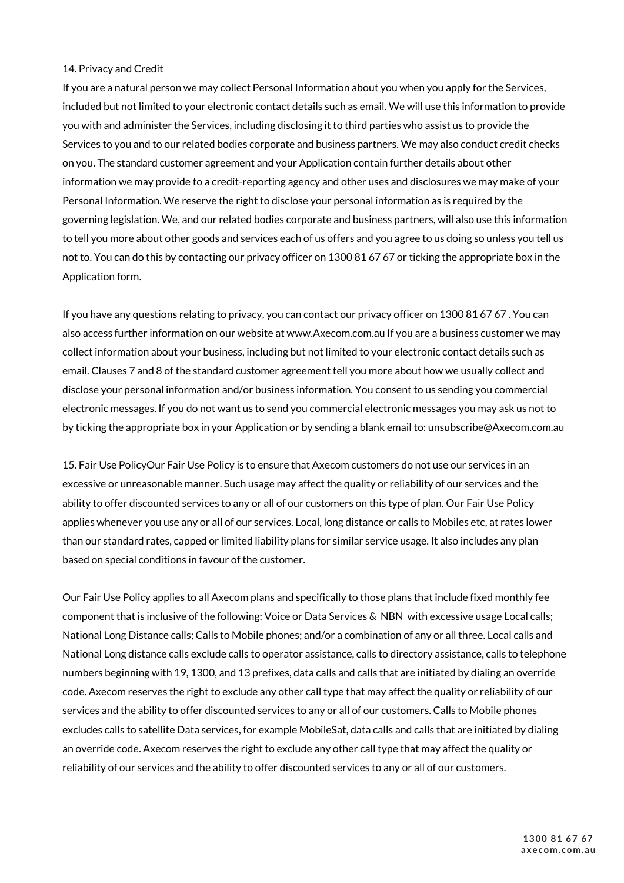# 14. Privacy and Credit

If you are a natural person we may collect Personal Information about you when you apply for the Services, included but not limited to your electronic contact details such as email. We will use this information to provide you with and administer the Services, including disclosing it to third parties who assist us to provide the Services to you and to our related bodies corporate and business partners. We may also conduct credit checks on you. The standard customer agreement and your Application contain further details about other information we may provide to a credit-reporting agency and other uses and disclosures we may make of your Personal Information. We reserve the right to disclose your personal information as is required by the governing legislation. We, and our related bodies corporate and business partners, will also use this information to tell you more about other goods and services each of us offers and you agree to us doing so unless you tell us not to. You can do this by contacting our privacy officer on 1300 81 67 67 or ticking the appropriate box in the Application form.

If you have any questions relating to privacy, you can contact our privacy officer on 1300 81 67 67 . You can also access further information on our website at www.Axecom.com.au If you are a business customer we may collect information about your business, including but not limited to your electronic contact details such as email. Clauses 7 and 8 of the standard customer agreement tell you more about how we usually collect and disclose your personal information and/or business information. You consent to us sending you commercial electronic messages. If you do not want us to send you commercial electronic messages you may ask us not to by ticking the appropriate box in your Application or by sending a blank email to: unsubscribe@Axecom.com.au

15. Fair Use PolicyOur Fair Use Policy is to ensure that Axecom customers do not use our services in an excessive or unreasonable manner. Such usage may affect the quality or reliability of our services and the ability to offer discounted services to any or all of our customers on this type of plan. Our Fair Use Policy applies whenever you use any or all of our services. Local, long distance or calls to Mobiles etc, at rates lower than our standard rates, capped or limited liability plans for similar service usage. It also includes any plan based on special conditions in favour of the customer.

Our Fair Use Policy applies to all Axecom plans and specifically to those plans that include fixed monthly fee component that is inclusive of the following: Voice or Data Services & NBN with excessive usage Local calls; National Long Distance calls; Calls to Mobile phones; and/or a combination of any or all three. Local calls and National Long distance calls exclude calls to operator assistance, calls to directory assistance, calls to telephone numbers beginning with 19, 1300, and 13 prefixes, data calls and calls that are initiated by dialing an override code. Axecom reserves the right to exclude any other call type that may affect the quality or reliability of our services and the ability to offer discounted services to any or all of our customers. Calls to Mobile phones excludes calls to satellite Data services, for example MobileSat, data calls and calls that are initiated by dialing an override code. Axecom reserves the right to exclude any other call type that may affect the quality or reliability of our services and the ability to offer discounted services to any or all of our customers.